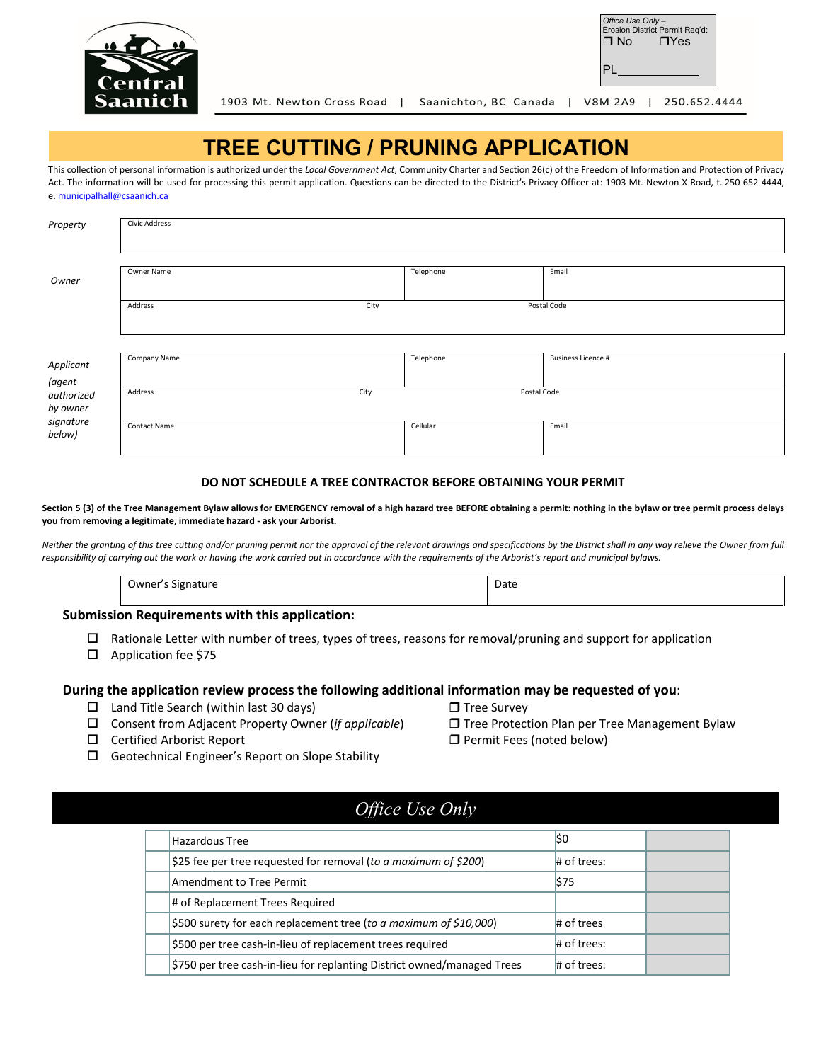

| Office Use Only-<br>Erosion District Permit Reg'd: |             |  |  |  |
|----------------------------------------------------|-------------|--|--|--|
| ∩ No                                               | $\n  T Yes$ |  |  |  |
|                                                    |             |  |  |  |

1903 Mt. Newton Cross Road | Saanichton, BC Canada | V8M 2A9 | 250.652.4444

### **TREE CUTTING / PRUNING APPLICATION**

This collection of personal information is authorized under the *Local Government Act*, Community Charter and Section 26(c) of the Freedom of Information and Protection of Privacy Act. The information will be used for processing this permit application. Questions can be directed to the District's Privacy Officer at: 1903 Mt. Newton X Road, t. 250-652-4444, e. municipalhall@csaanich.ca

| Property            | <b>Civic Address</b> |      |             |                           |
|---------------------|----------------------|------|-------------|---------------------------|
|                     |                      |      |             |                           |
| Owner               | Owner Name           |      | Telephone   | Email                     |
|                     |                      |      |             |                           |
|                     | Address              | City |             | Postal Code               |
|                     |                      |      |             |                           |
|                     |                      |      |             |                           |
| Applicant           | Company Name         |      | Telephone   | <b>Business Licence #</b> |
| (agent              |                      |      |             |                           |
| authorized          | Address              | City | Postal Code |                           |
| by owner            |                      |      |             |                           |
| signature<br>below) | Contact Name         |      | Cellular    | Email                     |

#### **DO NOT SCHEDULE A TREE CONTRACTOR BEFORE OBTAINING YOUR PERMIT**

Section 5 (3) of the Tree Management Bylaw allows for EMERGENCY removal of a high hazard tree BEFORE obtaining a permit: nothing in the bylaw or tree permit process delays **you from removing a legitimate, immediate hazard - ask your Arborist.**

Neither the granting of this tree cutting and/or pruning permit nor the approval of the relevant drawings and specifications by the District shall in any way relieve the Owner from full *responsibility of carrying out the work or having the work carried out in accordance with the requirements of the Arborist's report and municipal bylaws.*

| <b>Jwner</b><br>. | - Ddi<br>$ -$ |
|-------------------|---------------|
|                   |               |

#### **Submission Requirements with this application:**

- $\Box$  Rationale Letter with number of trees, types of trees, reasons for removal/pruning and support for application
- □ Application fee \$75

#### **During the application review process the following additional information may be requested of you**:

- $\square$  Land Title Search (within last 30 days)  $\square$  Tree Survey
- Consent from Adjacent Property Owner (*if applicable*) Tree Protection Plan per Tree Management Bylaw
- $\square$  Certified Arborist Report  $\square$  Permit Fees (noted below)
- 
- -
- $\Box$  Geotechnical Engineer's Report on Slope Stability
	- *Office Use Only*

| <b>Hazardous Tree</b>                                                   | lso           |  |
|-------------------------------------------------------------------------|---------------|--|
| \$25 fee per tree requested for removal (to a maximum of \$200)         | $#$ of trees: |  |
| Amendment to Tree Permit                                                | \$75          |  |
| # of Replacement Trees Required                                         |               |  |
| \$500 surety for each replacement tree (to a maximum of \$10,000)       | $#$ of trees  |  |
| \$500 per tree cash-in-lieu of replacement trees required               | $#$ of trees: |  |
| \$750 per tree cash-in-lieu for replanting District owned/managed Trees | $#$ of trees: |  |